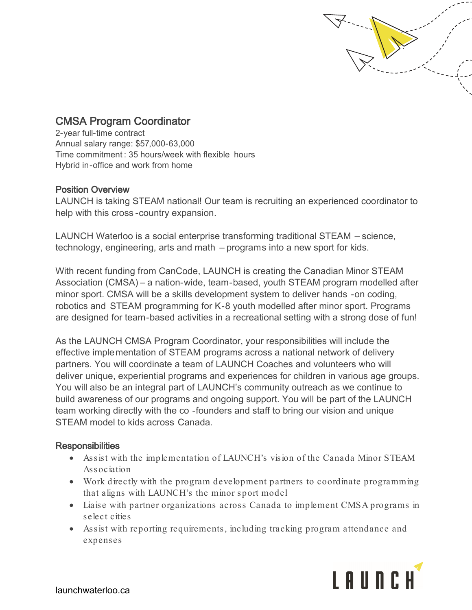

## CMSA Program Coordinator

2-year full-time contract Annual salary range: \$57,000-63,000 Time commitment : 35 hours/week with flexible hours Hybrid in-office and work from home

## Position Overview

LAUNCH is taking STEAM national! Our team is recruiting an experienced coordinator to help with this cross -country expansion.

LAUNCH Waterloo is a social enterprise transforming traditional STEAM – science, technology, engineering, arts and math – programs into a new sport for kids.

With recent funding from CanCode, LAUNCH is creating the Canadian Minor STEAM Association (CMSA) – a nation-wide, team-based, youth STEAM program modelled after minor sport. CMSA will be a skills development system to deliver hands -on coding, robotics and STEAM programming for K-8 youth modelled after minor sport. Programs are designed for team-based activities in a recreational setting with a strong dose of fun!

As the LAUNCH CMSA Program Coordinator, your responsibilities will include the effective implementation of STEAM programs across a national network of delivery partners. You will coordinate a team of LAUNCH Coaches and volunteers who will deliver unique, experiential programs and experiences for children in various age groups. You will also be an integral part of LAUNCH's community outreach as we continue to build awareness of our programs and ongoing support. You will be part of the LAUNCH team working directly with the co -founders and staff to bring our vision and unique STEAM model to kids across Canada.

## **Responsibilities**

- Assist with the implementation of LAUNCH's vision of the Canada Minor STEAM Association
- Work directly with the program development partners to coordinate programming that aligns with LAUNCH's the minor sport model
- Liaise with partner organizations across Canada to implement CMSA programs in select cities
- Assist with reporting requirements, including tracking program attendance and expenses